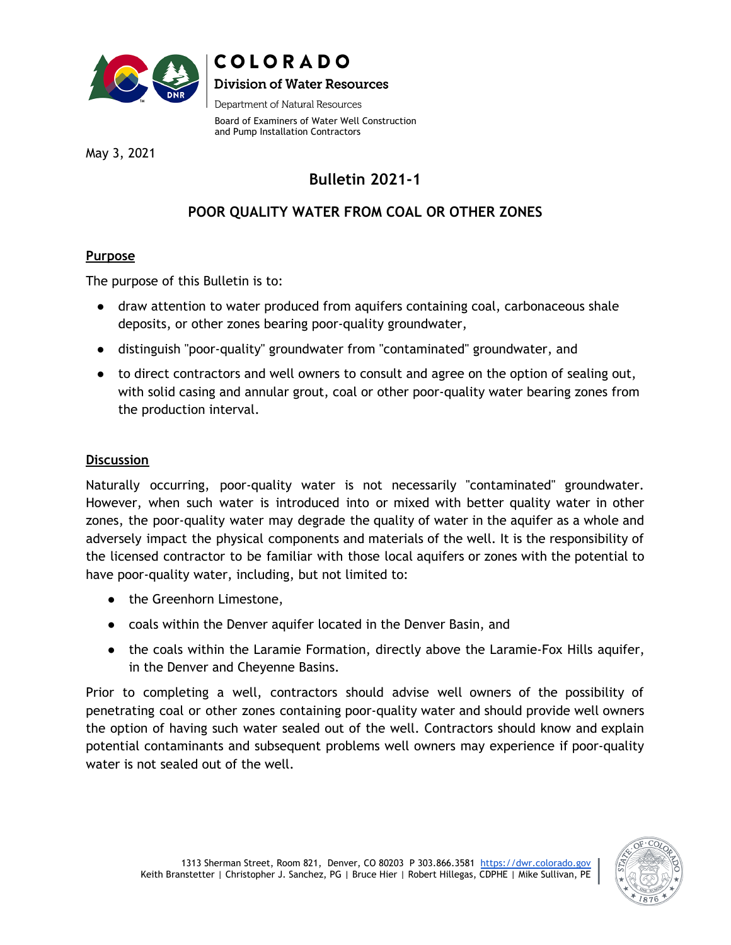

## COLORADO **Division of Water Resources**

Department of Natural Resources

Board of Examiners of Water Well Construction and Pump Installation Contractors

May 3, 2021

# **Bulletin 2021-1**

## **POOR QUALITY WATER FROM COAL OR OTHER ZONES**

### **Purpose**

The purpose of this Bulletin is to:

- draw attention to water produced from aquifers containing coal, carbonaceous shale deposits, or other zones bearing poor-quality groundwater,
- distinguish "poor-quality" groundwater from "contaminated" groundwater, and
- to direct contractors and well owners to consult and agree on the option of sealing out, with solid casing and annular grout, coal or other poor-quality water bearing zones from the production interval.

#### **Discussion**

Naturally occurring, poor-quality water is not necessarily "contaminated" groundwater. However, when such water is introduced into or mixed with better quality water in other zones, the poor-quality water may degrade the quality of water in the aquifer as a whole and adversely impact the physical components and materials of the well. It is the responsibility of the licensed contractor to be familiar with those local aquifers or zones with the potential to have poor-quality water, including, but not limited to:

- the Greenhorn Limestone,
- coals within the Denver aquifer located in the Denver Basin, and
- the coals within the Laramie Formation, directly above the Laramie-Fox Hills aquifer, in the Denver and Cheyenne Basins.

Prior to completing a well, contractors should advise well owners of the possibility of penetrating coal or other zones containing poor-quality water and should provide well owners the option of having such water sealed out of the well. Contractors should know and explain potential contaminants and subsequent problems well owners may experience if poor-quality water is not sealed out of the well.